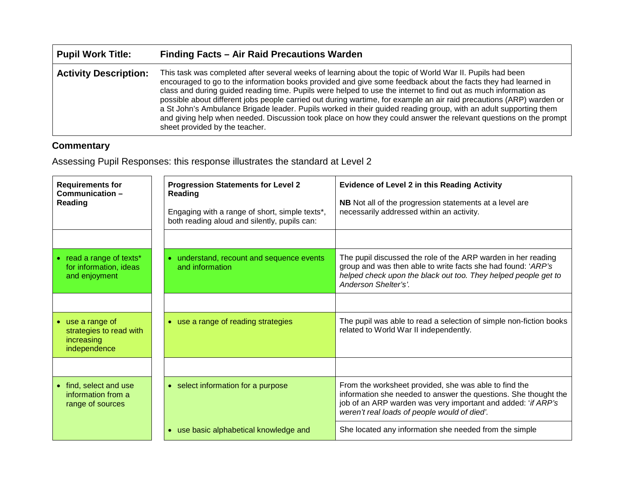| <b>Pupil Work Title:</b>     | Finding Facts - Air Raid Precautions Warden                                                                                                                                                                                                                                                                                                                                                                                                                                                                                                                                                                                                                                                                                                    |
|------------------------------|------------------------------------------------------------------------------------------------------------------------------------------------------------------------------------------------------------------------------------------------------------------------------------------------------------------------------------------------------------------------------------------------------------------------------------------------------------------------------------------------------------------------------------------------------------------------------------------------------------------------------------------------------------------------------------------------------------------------------------------------|
| <b>Activity Description:</b> | This task was completed after several weeks of learning about the topic of World War II. Pupils had been<br>encouraged to go to the information books provided and give some feedback about the facts they had learned in<br>class and during guided reading time. Pupils were helped to use the internet to find out as much information as<br>possible about different jobs people carried out during wartime, for example an air raid precautions (ARP) warden or<br>a St John's Ambulance Brigade leader. Pupils worked in their guided reading group, with an adult supporting them<br>and giving help when needed. Discussion took place on how they could answer the relevant questions on the prompt<br>sheet provided by the teacher. |

## **Commentary**

Assessing Pupil Responses: this response illustrates the standard at Level 2

| <b>Requirements for</b><br>Communication-<br>Reading                    | <b>Progression Statements for Level 2</b><br><b>Reading</b><br>Engaging with a range of short, simple texts*,<br>both reading aloud and silently, pupils can: | <b>Evidence of Level 2 in this Reading Activity</b><br>NB Not all of the progression statements at a level are<br>necessarily addressed within an activity.                                                                              |
|-------------------------------------------------------------------------|---------------------------------------------------------------------------------------------------------------------------------------------------------------|------------------------------------------------------------------------------------------------------------------------------------------------------------------------------------------------------------------------------------------|
|                                                                         |                                                                                                                                                               |                                                                                                                                                                                                                                          |
| read a range of texts*<br>for information, ideas<br>and enjoyment       | • understand, recount and sequence events<br>and information                                                                                                  | The pupil discussed the role of the ARP warden in her reading<br>group and was then able to write facts she had found: 'ARP's<br>helped check upon the black out too. They helped people get to<br>Anderson Shelter's'.                  |
|                                                                         |                                                                                                                                                               |                                                                                                                                                                                                                                          |
| use a range of<br>strategies to read with<br>increasing<br>independence | • use a range of reading strategies                                                                                                                           | The pupil was able to read a selection of simple non-fiction books<br>related to World War II independently.                                                                                                                             |
|                                                                         |                                                                                                                                                               |                                                                                                                                                                                                                                          |
| find, select and use<br>information from a<br>range of sources          | • select information for a purpose                                                                                                                            | From the worksheet provided, she was able to find the<br>information she needed to answer the questions. She thought the<br>job of an ARP warden was very important and added: 'if ARP's<br>weren't real loads of people would of died'. |
|                                                                         | • use basic alphabetical knowledge and                                                                                                                        | She located any information she needed from the simple                                                                                                                                                                                   |